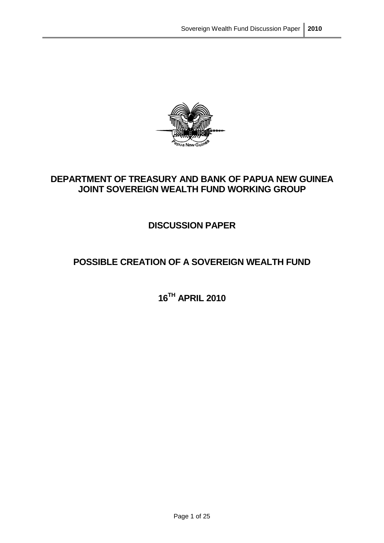

## **DEPARTMENT OF TREASURY AND BANK OF PAPUA NEW GUINEA JOINT SOVEREIGN WEALTH FUND WORKING GROUP**

## **DISCUSSION PAPER**

# **POSSIBLE CREATION OF A SOVEREIGN WEALTH FUND**

**16TH APRIL 2010**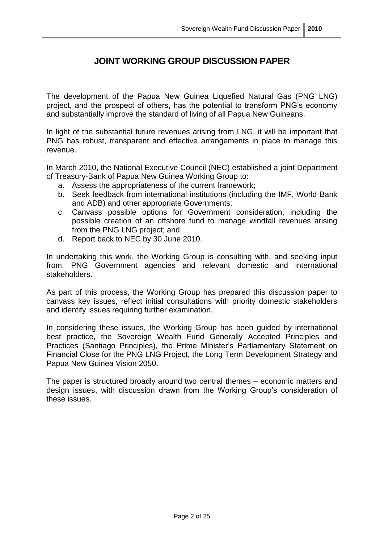## **JOINT WORKING GROUP DISCUSSION PAPER**

The development of the Papua New Guinea Liquefied Natural Gas (PNG LNG) project, and the prospect of others, has the potential to transform PNG"s economy and substantially improve the standard of living of all Papua New Guineans.

In light of the substantial future revenues arising from LNG, it will be important that PNG has robust, transparent and effective arrangements in place to manage this revenue.

In March 2010, the National Executive Council (NEC) established a joint Department of Treasury-Bank of Papua New Guinea Working Group to:

- a. Assess the appropriateness of the current framework;
- b. Seek feedback from international institutions (including the IMF, World Bank and ADB) and other appropriate Governments;
- c. Canvass possible options for Government consideration, including the possible creation of an offshore fund to manage windfall revenues arising from the PNG LNG project; and
- d. Report back to NEC by 30 June 2010.

In undertaking this work, the Working Group is consulting with, and seeking input from, PNG Government agencies and relevant domestic and international stakeholders.

As part of this process, the Working Group has prepared this discussion paper to canvass key issues, reflect initial consultations with priority domestic stakeholders and identify issues requiring further examination.

In considering these issues, the Working Group has been guided by international best practice, the Sovereign Wealth Fund Generally Accepted Principles and Practices (Santiago Principles), the Prime Minister's Parliamentary Statement on Financial Close for the PNG LNG Project, the Long Term Development Strategy and Papua New Guinea Vision 2050.

The paper is structured broadly around two central themes – economic matters and design issues, with discussion drawn from the Working Group"s consideration of these issues.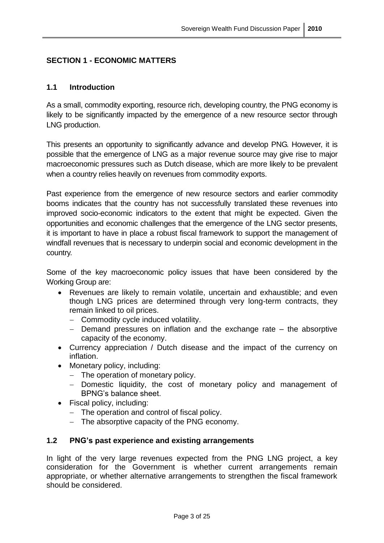## **SECTION 1 - ECONOMIC MATTERS**

### **1.1 Introduction**

As a small, commodity exporting, resource rich, developing country, the PNG economy is likely to be significantly impacted by the emergence of a new resource sector through LNG production.

This presents an opportunity to significantly advance and develop PNG. However, it is possible that the emergence of LNG as a major revenue source may give rise to major macroeconomic pressures such as Dutch disease, which are more likely to be prevalent when a country relies heavily on revenues from commodity exports.

Past experience from the emergence of new resource sectors and earlier commodity booms indicates that the country has not successfully translated these revenues into improved socio-economic indicators to the extent that might be expected. Given the opportunities and economic challenges that the emergence of the LNG sector presents, it is important to have in place a robust fiscal framework to support the management of windfall revenues that is necessary to underpin social and economic development in the country.

Some of the key macroeconomic policy issues that have been considered by the Working Group are:

- Revenues are likely to remain volatile, uncertain and exhaustible; and even though LNG prices are determined through very long-term contracts, they remain linked to oil prices.
	- Commodity cycle induced volatility.
	- $-$  Demand pressures on inflation and the exchange rate  $-$  the absorptive capacity of the economy.
- Currency appreciation / Dutch disease and the impact of the currency on inflation.
- Monetary policy, including:
	- The operation of monetary policy.
	- Domestic liquidity, the cost of monetary policy and management of BPNG"s balance sheet.
- Fiscal policy, including:
	- The operation and control of fiscal policy.
	- The absorptive capacity of the PNG economy.

## **1.2 PNG's past experience and existing arrangements**

In light of the very large revenues expected from the PNG LNG project, a key consideration for the Government is whether current arrangements remain appropriate, or whether alternative arrangements to strengthen the fiscal framework should be considered.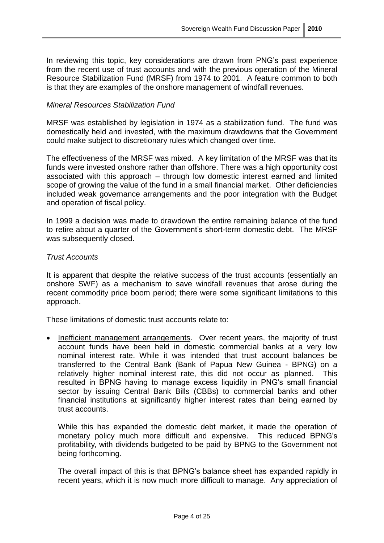In reviewing this topic, key considerations are drawn from PNG's past experience from the recent use of trust accounts and with the previous operation of the Mineral Resource Stabilization Fund (MRSF) from 1974 to 2001. A feature common to both is that they are examples of the onshore management of windfall revenues.

#### *Mineral Resources Stabilization Fund*

MRSF was established by legislation in 1974 as a stabilization fund. The fund was domestically held and invested, with the maximum drawdowns that the Government could make subject to discretionary rules which changed over time.

The effectiveness of the MRSF was mixed. A key limitation of the MRSF was that its funds were invested onshore rather than offshore. There was a high opportunity cost associated with this approach – through low domestic interest earned and limited scope of growing the value of the fund in a small financial market. Other deficiencies included weak governance arrangements and the poor integration with the Budget and operation of fiscal policy.

In 1999 a decision was made to drawdown the entire remaining balance of the fund to retire about a quarter of the Government's short-term domestic debt. The MRSF was subsequently closed.

#### *Trust Accounts*

It is apparent that despite the relative success of the trust accounts (essentially an onshore SWF) as a mechanism to save windfall revenues that arose during the recent commodity price boom period; there were some significant limitations to this approach.

These limitations of domestic trust accounts relate to:

• Inefficient management arrangements. Over recent years, the majority of trust account funds have been held in domestic commercial banks at a very low nominal interest rate. While it was intended that trust account balances be transferred to the Central Bank (Bank of Papua New Guinea - BPNG) on a relatively higher nominal interest rate, this did not occur as planned. This resulted in BPNG having to manage excess liquidity in PNG"s small financial sector by issuing Central Bank Bills (CBBs) to commercial banks and other financial institutions at significantly higher interest rates than being earned by trust accounts.

While this has expanded the domestic debt market, it made the operation of monetary policy much more difficult and expensive. This reduced BPNG"s profitability, with dividends budgeted to be paid by BPNG to the Government not being forthcoming.

The overall impact of this is that BPNG"s balance sheet has expanded rapidly in recent years, which it is now much more difficult to manage. Any appreciation of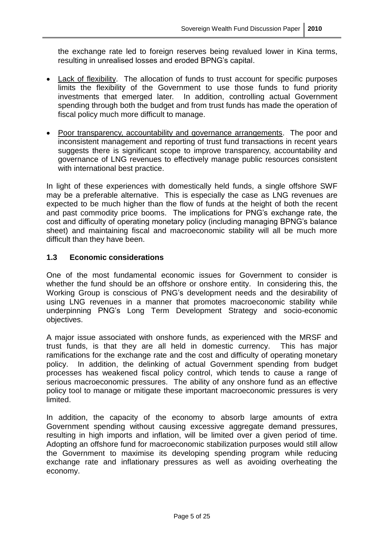the exchange rate led to foreign reserves being revalued lower in Kina terms, resulting in unrealised losses and eroded BPNG"s capital.

- Lack of flexibility. The allocation of funds to trust account for specific purposes limits the flexibility of the Government to use those funds to fund priority investments that emerged later. In addition, controlling actual Government spending through both the budget and from trust funds has made the operation of fiscal policy much more difficult to manage.
- Poor transparency, accountability and governance arrangements. The poor and inconsistent management and reporting of trust fund transactions in recent years suggests there is significant scope to improve transparency, accountability and governance of LNG revenues to effectively manage public resources consistent with international best practice.

In light of these experiences with domestically held funds, a single offshore SWF may be a preferable alternative. This is especially the case as LNG revenues are expected to be much higher than the flow of funds at the height of both the recent and past commodity price booms. The implications for PNG"s exchange rate, the cost and difficulty of operating monetary policy (including managing BPNG"s balance sheet) and maintaining fiscal and macroeconomic stability will all be much more difficult than they have been.

## **1.3 Economic considerations**

One of the most fundamental economic issues for Government to consider is whether the fund should be an offshore or onshore entity. In considering this, the Working Group is conscious of PNG"s development needs and the desirability of using LNG revenues in a manner that promotes macroeconomic stability while underpinning PNG"s Long Term Development Strategy and socio-economic objectives.

A major issue associated with onshore funds, as experienced with the MRSF and trust funds, is that they are all held in domestic currency. This has major ramifications for the exchange rate and the cost and difficulty of operating monetary policy. In addition, the delinking of actual Government spending from budget processes has weakened fiscal policy control, which tends to cause a range of serious macroeconomic pressures. The ability of any onshore fund as an effective policy tool to manage or mitigate these important macroeconomic pressures is very limited.

In addition, the capacity of the economy to absorb large amounts of extra Government spending without causing excessive aggregate demand pressures, resulting in high imports and inflation, will be limited over a given period of time. Adopting an offshore fund for macroeconomic stabilization purposes would still allow the Government to maximise its developing spending program while reducing exchange rate and inflationary pressures as well as avoiding overheating the economy.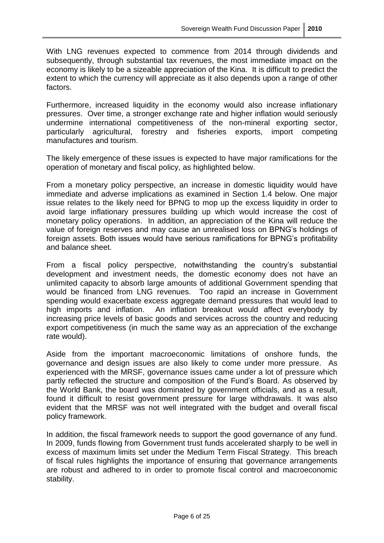With LNG revenues expected to commence from 2014 through dividends and subsequently, through substantial tax revenues, the most immediate impact on the economy is likely to be a sizeable appreciation of the Kina. It is difficult to predict the extent to which the currency will appreciate as it also depends upon a range of other factors.

Furthermore, increased liquidity in the economy would also increase inflationary pressures. Over time, a stronger exchange rate and higher inflation would seriously undermine international competitiveness of the non-mineral exporting sector, particularly agricultural, forestry and fisheries exports, import competing manufactures and tourism.

The likely emergence of these issues is expected to have major ramifications for the operation of monetary and fiscal policy, as highlighted below.

From a monetary policy perspective, an increase in domestic liquidity would have immediate and adverse implications as examined in Section 1.4 below. One major issue relates to the likely need for BPNG to mop up the excess liquidity in order to avoid large inflationary pressures building up which would increase the cost of monetary policy operations. In addition, an appreciation of the Kina will reduce the value of foreign reserves and may cause an unrealised loss on BPNG"s holdings of foreign assets. Both issues would have serious ramifications for BPNG"s profitability and balance sheet.

From a fiscal policy perspective, notwithstanding the country's substantial development and investment needs, the domestic economy does not have an unlimited capacity to absorb large amounts of additional Government spending that would be financed from LNG revenues. Too rapid an increase in Government spending would exacerbate excess aggregate demand pressures that would lead to high imports and inflation. An inflation breakout would affect everybody by increasing price levels of basic goods and services across the country and reducing export competitiveness (in much the same way as an appreciation of the exchange rate would).

Aside from the important macroeconomic limitations of onshore funds, the governance and design issues are also likely to come under more pressure. As experienced with the MRSF, governance issues came under a lot of pressure which partly reflected the structure and composition of the Fund"s Board. As observed by the World Bank, the board was dominated by government officials, and as a result, found it difficult to resist government pressure for large withdrawals. It was also evident that the MRSF was not well integrated with the budget and overall fiscal policy framework.

In addition, the fiscal framework needs to support the good governance of any fund. In 2009, funds flowing from Government trust funds accelerated sharply to be well in excess of maximum limits set under the Medium Term Fiscal Strategy. This breach of fiscal rules highlights the importance of ensuring that governance arrangements are robust and adhered to in order to promote fiscal control and macroeconomic stability.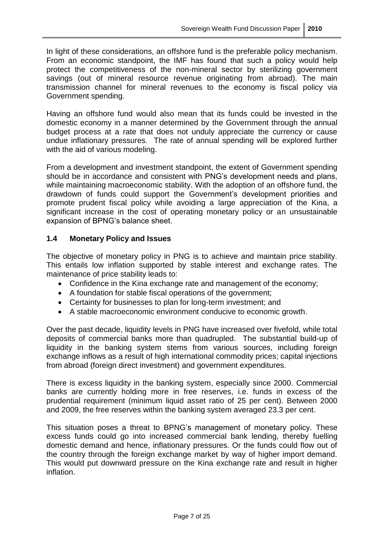In light of these considerations, an offshore fund is the preferable policy mechanism. From an economic standpoint, the IMF has found that such a policy would help protect the competitiveness of the non-mineral sector by sterilizing government savings (out of mineral resource revenue originating from abroad). The main transmission channel for mineral revenues to the economy is fiscal policy via Government spending.

Having an offshore fund would also mean that its funds could be invested in the domestic economy in a manner determined by the Government through the annual budget process at a rate that does not unduly appreciate the currency or cause undue inflationary pressures. The rate of annual spending will be explored further with the aid of various modeling.

From a development and investment standpoint, the extent of Government spending should be in accordance and consistent with PNG"s development needs and plans, while maintaining macroeconomic stability. With the adoption of an offshore fund, the drawdown of funds could support the Government"s development priorities and promote prudent fiscal policy while avoiding a large appreciation of the Kina, a significant increase in the cost of operating monetary policy or an unsustainable expansion of BPNG"s balance sheet.

#### **1.4 Monetary Policy and Issues**

The objective of monetary policy in PNG is to achieve and maintain price stability. This entails low inflation supported by stable interest and exchange rates. The maintenance of price stability leads to:

- Confidence in the Kina exchange rate and management of the economy;
- A foundation for stable fiscal operations of the government;
- Certainty for businesses to plan for long-term investment; and
- A stable macroeconomic environment conducive to economic growth.

Over the past decade, liquidity levels in PNG have increased over fivefold, while total deposits of commercial banks more than quadrupled. The substantial build-up of liquidity in the banking system stems from various sources, including foreign exchange inflows as a result of high international commodity prices; capital injections from abroad (foreign direct investment) and government expenditures.

There is excess liquidity in the banking system, especially since 2000. Commercial banks are currently holding more in free reserves, i.e. funds in excess of the prudential requirement (minimum liquid asset ratio of 25 per cent). Between 2000 and 2009, the free reserves within the banking system averaged 23.3 per cent.

This situation poses a threat to BPNG"s management of monetary policy. These excess funds could go into increased commercial bank lending, thereby fuelling domestic demand and hence, inflationary pressures. Or the funds could flow out of the country through the foreign exchange market by way of higher import demand. This would put downward pressure on the Kina exchange rate and result in higher inflation.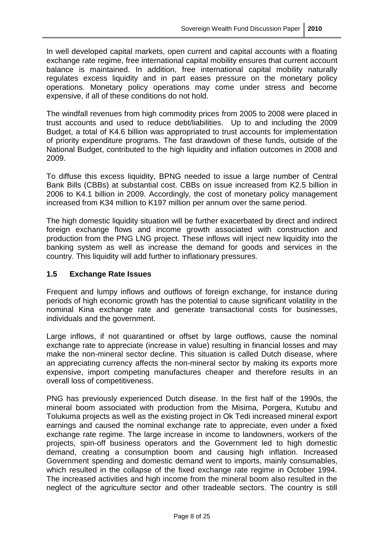In well developed capital markets, open current and capital accounts with a floating exchange rate regime, free international capital mobility ensures that current account balance is maintained. In addition, free international capital mobility naturally regulates excess liquidity and in part eases pressure on the monetary policy operations. Monetary policy operations may come under stress and become expensive, if all of these conditions do not hold.

The windfall revenues from high commodity prices from 2005 to 2008 were placed in trust accounts and used to reduce debt/liabilities. Up to and including the 2009 Budget, a total of K4.6 billion was appropriated to trust accounts for implementation of priority expenditure programs. The fast drawdown of these funds, outside of the National Budget, contributed to the high liquidity and inflation outcomes in 2008 and 2009.

To diffuse this excess liquidity, BPNG needed to issue a large number of Central Bank Bills (CBBs) at substantial cost. CBBs on issue increased from K2.5 billion in 2006 to K4.1 billion in 2009. Accordingly, the cost of monetary policy management increased from K34 million to K197 million per annum over the same period.

The high domestic liquidity situation will be further exacerbated by direct and indirect foreign exchange flows and income growth associated with construction and production from the PNG LNG project. These inflows will inject new liquidity into the banking system as well as increase the demand for goods and services in the country. This liquidity will add further to inflationary pressures.

#### **1.5 Exchange Rate Issues**

Frequent and lumpy inflows and outflows of foreign exchange, for instance during periods of high economic growth has the potential to cause significant volatility in the nominal Kina exchange rate and generate transactional costs for businesses, individuals and the government.

Large inflows, if not quarantined or offset by large outflows, cause the nominal exchange rate to appreciate (increase in value) resulting in financial losses and may make the non-mineral sector decline. This situation is called Dutch disease, where an appreciating currency affects the non-mineral sector by making its exports more expensive, import competing manufactures cheaper and therefore results in an overall loss of competitiveness.

PNG has previously experienced Dutch disease. In the first half of the 1990s, the mineral boom associated with production from the Misima, Porgera, Kutubu and Tolukuma projects as well as the existing project in Ok Tedi increased mineral export earnings and caused the nominal exchange rate to appreciate, even under a fixed exchange rate regime. The large increase in income to landowners, workers of the projects, spin-off business operators and the Government led to high domestic demand, creating a consumption boom and causing high inflation. Increased Government spending and domestic demand went to imports, mainly consumables, which resulted in the collapse of the fixed exchange rate regime in October 1994. The increased activities and high income from the mineral boom also resulted in the neglect of the agriculture sector and other tradeable sectors. The country is still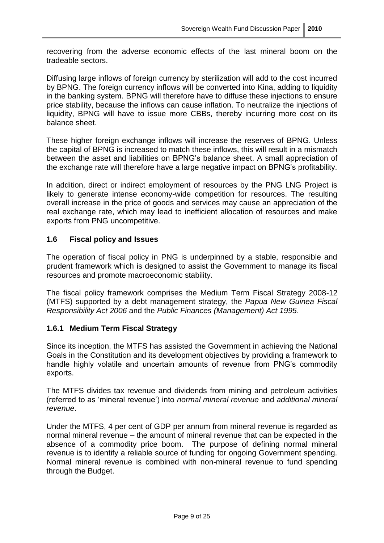recovering from the adverse economic effects of the last mineral boom on the tradeable sectors.

Diffusing large inflows of foreign currency by sterilization will add to the cost incurred by BPNG. The foreign currency inflows will be converted into Kina, adding to liquidity in the banking system. BPNG will therefore have to diffuse these injections to ensure price stability, because the inflows can cause inflation. To neutralize the injections of liquidity, BPNG will have to issue more CBBs, thereby incurring more cost on its balance sheet.

These higher foreign exchange inflows will increase the reserves of BPNG. Unless the capital of BPNG is increased to match these inflows, this will result in a mismatch between the asset and liabilities on BPNG"s balance sheet. A small appreciation of the exchange rate will therefore have a large negative impact on BPNG"s profitability.

In addition, direct or indirect employment of resources by the PNG LNG Project is likely to generate intense economy-wide competition for resources. The resulting overall increase in the price of goods and services may cause an appreciation of the real exchange rate, which may lead to inefficient allocation of resources and make exports from PNG uncompetitive.

#### **1.6 Fiscal policy and Issues**

The operation of fiscal policy in PNG is underpinned by a stable, responsible and prudent framework which is designed to assist the Government to manage its fiscal resources and promote macroeconomic stability.

The fiscal policy framework comprises the Medium Term Fiscal Strategy 2008-12 (MTFS) supported by a debt management strategy, the *Papua New Guinea Fiscal Responsibility Act 2006* and the *Public Finances (Management) Act 1995*.

## **1.6.1 Medium Term Fiscal Strategy**

Since its inception, the MTFS has assisted the Government in achieving the National Goals in the Constitution and its development objectives by providing a framework to handle highly volatile and uncertain amounts of revenue from PNG's commodity exports.

The MTFS divides tax revenue and dividends from mining and petroleum activities (referred to as "mineral revenue") into *normal mineral revenue* and *additional mineral revenue*.

Under the MTFS, 4 per cent of GDP per annum from mineral revenue is regarded as normal mineral revenue – the amount of mineral revenue that can be expected in the absence of a commodity price boom. The purpose of defining normal mineral revenue is to identify a reliable source of funding for ongoing Government spending. Normal mineral revenue is combined with non-mineral revenue to fund spending through the Budget.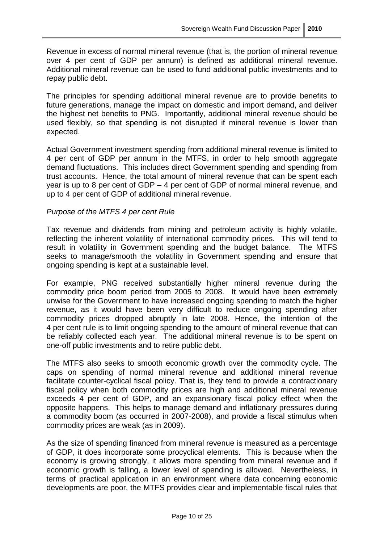Revenue in excess of normal mineral revenue (that is, the portion of mineral revenue over 4 per cent of GDP per annum) is defined as additional mineral revenue. Additional mineral revenue can be used to fund additional public investments and to repay public debt.

The principles for spending additional mineral revenue are to provide benefits to future generations, manage the impact on domestic and import demand, and deliver the highest net benefits to PNG. Importantly, additional mineral revenue should be used flexibly, so that spending is not disrupted if mineral revenue is lower than expected.

Actual Government investment spending from additional mineral revenue is limited to 4 per cent of GDP per annum in the MTFS, in order to help smooth aggregate demand fluctuations. This includes direct Government spending and spending from trust accounts. Hence, the total amount of mineral revenue that can be spent each year is up to 8 per cent of GDP – 4 per cent of GDP of normal mineral revenue, and up to 4 per cent of GDP of additional mineral revenue.

#### *Purpose of the MTFS 4 per cent Rule*

Tax revenue and dividends from mining and petroleum activity is highly volatile, reflecting the inherent volatility of international commodity prices. This will tend to result in volatility in Government spending and the budget balance. The MTFS seeks to manage/smooth the volatility in Government spending and ensure that ongoing spending is kept at a sustainable level.

For example, PNG received substantially higher mineral revenue during the commodity price boom period from 2005 to 2008. It would have been extremely unwise for the Government to have increased ongoing spending to match the higher revenue, as it would have been very difficult to reduce ongoing spending after commodity prices dropped abruptly in late 2008. Hence, the intention of the 4 per cent rule is to limit ongoing spending to the amount of mineral revenue that can be reliably collected each year. The additional mineral revenue is to be spent on one-off public investments and to retire public debt.

The MTFS also seeks to smooth economic growth over the commodity cycle. The caps on spending of normal mineral revenue and additional mineral revenue facilitate counter-cyclical fiscal policy. That is, they tend to provide a contractionary fiscal policy when both commodity prices are high and additional mineral revenue exceeds 4 per cent of GDP, and an expansionary fiscal policy effect when the opposite happens. This helps to manage demand and inflationary pressures during a commodity boom (as occurred in 2007-2008), and provide a fiscal stimulus when commodity prices are weak (as in 2009).

As the size of spending financed from mineral revenue is measured as a percentage of GDP, it does incorporate some procyclical elements. This is because when the economy is growing strongly, it allows more spending from mineral revenue and if economic growth is falling, a lower level of spending is allowed. Nevertheless, in terms of practical application in an environment where data concerning economic developments are poor, the MTFS provides clear and implementable fiscal rules that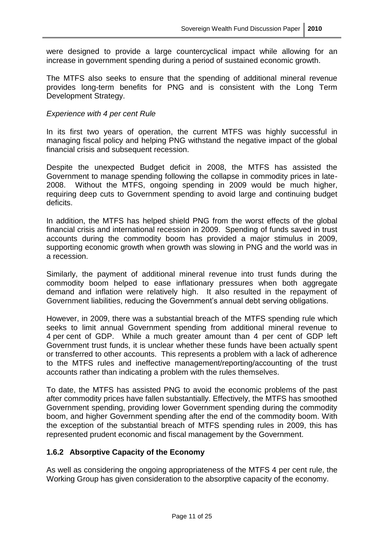were designed to provide a large countercyclical impact while allowing for an increase in government spending during a period of sustained economic growth.

The MTFS also seeks to ensure that the spending of additional mineral revenue provides long-term benefits for PNG and is consistent with the Long Term Development Strategy.

#### *Experience with 4 per cent Rule*

In its first two years of operation, the current MTFS was highly successful in managing fiscal policy and helping PNG withstand the negative impact of the global financial crisis and subsequent recession.

Despite the unexpected Budget deficit in 2008, the MTFS has assisted the Government to manage spending following the collapse in commodity prices in late-2008. Without the MTFS, ongoing spending in 2009 would be much higher, requiring deep cuts to Government spending to avoid large and continuing budget deficits.

In addition, the MTFS has helped shield PNG from the worst effects of the global financial crisis and international recession in 2009. Spending of funds saved in trust accounts during the commodity boom has provided a major stimulus in 2009, supporting economic growth when growth was slowing in PNG and the world was in a recession.

Similarly, the payment of additional mineral revenue into trust funds during the commodity boom helped to ease inflationary pressures when both aggregate demand and inflation were relatively high. It also resulted in the repayment of Government liabilities, reducing the Government's annual debt serving obligations.

However, in 2009, there was a substantial breach of the MTFS spending rule which seeks to limit annual Government spending from additional mineral revenue to 4 per cent of GDP. While a much greater amount than 4 per cent of GDP left Government trust funds, it is unclear whether these funds have been actually spent or transferred to other accounts. This represents a problem with a lack of adherence to the MTFS rules and ineffective management/reporting/accounting of the trust accounts rather than indicating a problem with the rules themselves.

To date, the MTFS has assisted PNG to avoid the economic problems of the past after commodity prices have fallen substantially. Effectively, the MTFS has smoothed Government spending, providing lower Government spending during the commodity boom, and higher Government spending after the end of the commodity boom. With the exception of the substantial breach of MTFS spending rules in 2009, this has represented prudent economic and fiscal management by the Government.

#### **1.6.2 Absorptive Capacity of the Economy**

As well as considering the ongoing appropriateness of the MTFS 4 per cent rule, the Working Group has given consideration to the absorptive capacity of the economy.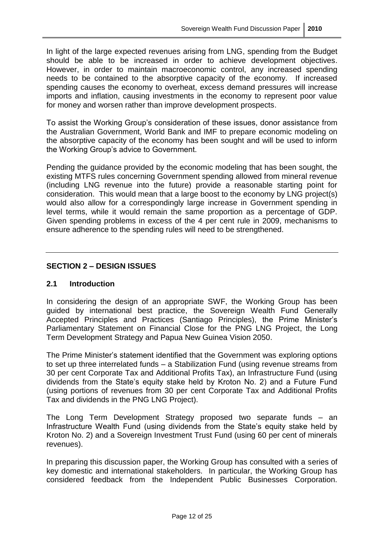In light of the large expected revenues arising from LNG, spending from the Budget should be able to be increased in order to achieve development objectives. However, in order to maintain macroeconomic control, any increased spending needs to be contained to the absorptive capacity of the economy. If increased spending causes the economy to overheat, excess demand pressures will increase imports and inflation, causing investments in the economy to represent poor value for money and worsen rather than improve development prospects.

To assist the Working Group"s consideration of these issues, donor assistance from the Australian Government, World Bank and IMF to prepare economic modeling on the absorptive capacity of the economy has been sought and will be used to inform the Working Group"s advice to Government.

Pending the guidance provided by the economic modeling that has been sought, the existing MTFS rules concerning Government spending allowed from mineral revenue (including LNG revenue into the future) provide a reasonable starting point for consideration. This would mean that a large boost to the economy by LNG project(s) would also allow for a correspondingly large increase in Government spending in level terms, while it would remain the same proportion as a percentage of GDP. Given spending problems in excess of the 4 per cent rule in 2009, mechanisms to ensure adherence to the spending rules will need to be strengthened.

#### **SECTION 2 – DESIGN ISSUES**

#### **2.1 Introduction**

In considering the design of an appropriate SWF, the Working Group has been guided by international best practice, the Sovereign Wealth Fund Generally Accepted Principles and Practices (Santiago Principles), the Prime Minister"s Parliamentary Statement on Financial Close for the PNG LNG Project, the Long Term Development Strategy and Papua New Guinea Vision 2050.

The Prime Minister's statement identified that the Government was exploring options to set up three interrelated funds – a Stabilization Fund (using revenue streams from 30 per cent Corporate Tax and Additional Profits Tax), an Infrastructure Fund (using dividends from the State"s equity stake held by Kroton No. 2) and a Future Fund (using portions of revenues from 30 per cent Corporate Tax and Additional Profits Tax and dividends in the PNG LNG Project).

The Long Term Development Strategy proposed two separate funds – an Infrastructure Wealth Fund (using dividends from the State"s equity stake held by Kroton No. 2) and a Sovereign Investment Trust Fund (using 60 per cent of minerals revenues).

In preparing this discussion paper, the Working Group has consulted with a series of key domestic and international stakeholders. In particular, the Working Group has considered feedback from the Independent Public Businesses Corporation.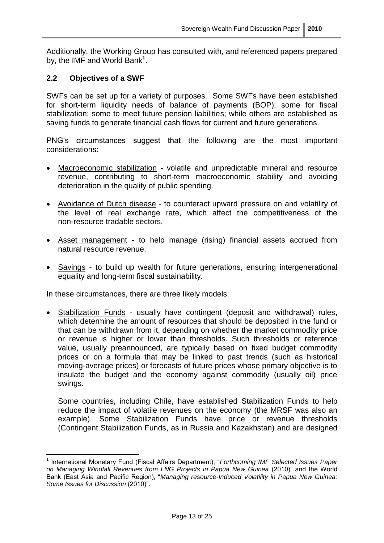Additionally, the Working Group has consulted with, and referenced papers prepared by, the IMF and World Bank**<sup>1</sup>** .

#### **2.2 Objectives of a SWF**

SWFs can be set up for a variety of purposes. Some SWFs have been established for short-term liquidity needs of balance of payments (BOP); some for fiscal stabilization; some to meet future pension liabilities; while others are established as saving funds to generate financial cash flows for current and future generations.

PNG"s circumstances suggest that the following are the most important considerations:

- Macroeconomic stabilization volatile and unpredictable mineral and resource revenue, contributing to short-term macroeconomic stability and avoiding deterioration in the quality of public spending.
- Avoidance of Dutch disease to counteract upward pressure on and volatility of the level of real exchange rate, which affect the competitiveness of the non-resource tradable sectors.
- Asset management to help manage (rising) financial assets accrued from natural resource revenue.
- Savings to build up wealth for future generations, ensuring intergenerational equality and long-term fiscal sustainability.

In these circumstances, there are three likely models:

 $\overline{1}$ 

• Stabilization Funds - usually have contingent (deposit and withdrawal) rules, which determine the amount of resources that should be deposited in the fund or that can be withdrawn from it, depending on whether the market commodity price or revenue is higher or lower than thresholds. Such thresholds or reference value, usually preannounced, are typically based on fixed budget commodity prices or on a formula that may be linked to past trends (such as historical moving-average prices) or forecasts of future prices whose primary objective is to insulate the budget and the economy against commodity (usually oil) price swings.

Some countries, including Chile, have established Stabilization Funds to help reduce the impact of volatile revenues on the economy (the MRSF was also an example). Some Stabilization Funds have price or revenue thresholds (Contingent Stabilization Funds, as in Russia and Kazakhstan) and are designed

<sup>1</sup> International Monetary Fund (Fiscal Affairs Department), "*Forthcoming IMF Selected Issues Paper on Managing Windfall Revenues from LNG Projects in Papua New Guinea* (2010)" and the World Bank (East Asia and Pacific Region), "*Managing resource-Induced Volatility in Papua New Guinea: Some Issues for Discussion* (2010)".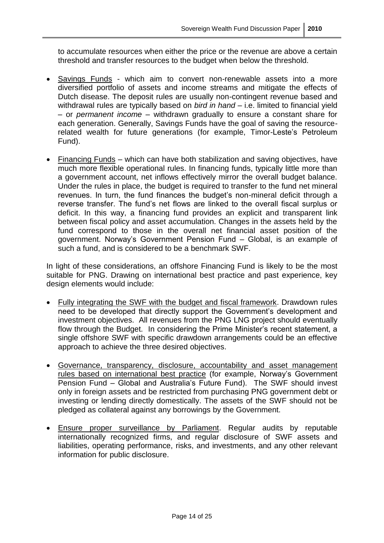to accumulate resources when either the price or the revenue are above a certain threshold and transfer resources to the budget when below the threshold.

- Savings Funds which aim to convert non-renewable assets into a more diversified portfolio of assets and income streams and mitigate the effects of Dutch disease. The deposit rules are usually non-contingent revenue based and withdrawal rules are typically based on *bird in hand* – i.e. limited to financial yield – or *permanent income* – withdrawn gradually to ensure a constant share for each generation. Generally, Savings Funds have the goal of saving the resourcerelated wealth for future generations (for example, Timor-Leste's Petroleum Fund).
- Financing Funds which can have both stabilization and saving objectives, have much more flexible operational rules. In financing funds, typically little more than a government account, net inflows effectively mirror the overall budget balance. Under the rules in place, the budget is required to transfer to the fund net mineral revenues. In turn, the fund finances the budget's non-mineral deficit through a reverse transfer. The fund"s net flows are linked to the overall fiscal surplus or deficit. In this way, a financing fund provides an explicit and transparent link between fiscal policy and asset accumulation. Changes in the assets held by the fund correspond to those in the overall net financial asset position of the government. Norway"s Government Pension Fund – Global, is an example of such a fund, and is considered to be a benchmark SWF.

In light of these considerations, an offshore Financing Fund is likely to be the most suitable for PNG. Drawing on international best practice and past experience, key design elements would include:

- Fully integrating the SWF with the budget and fiscal framework. Drawdown rules need to be developed that directly support the Government"s development and investment objectives. All revenues from the PNG LNG project should eventually flow through the Budget. In considering the Prime Minister's recent statement, a single offshore SWF with specific drawdown arrangements could be an effective approach to achieve the three desired objectives.
- Governance, transparency, disclosure, accountability and asset management rules based on international best practice (for example, Norway"s Government Pension Fund – Global and Australia"s Future Fund). The SWF should invest only in foreign assets and be restricted from purchasing PNG government debt or investing or lending directly domestically. The assets of the SWF should not be pledged as collateral against any borrowings by the Government.
- Ensure proper surveillance by Parliament. Regular audits by reputable internationally recognized firms, and regular disclosure of SWF assets and liabilities, operating performance, risks, and investments, and any other relevant information for public disclosure.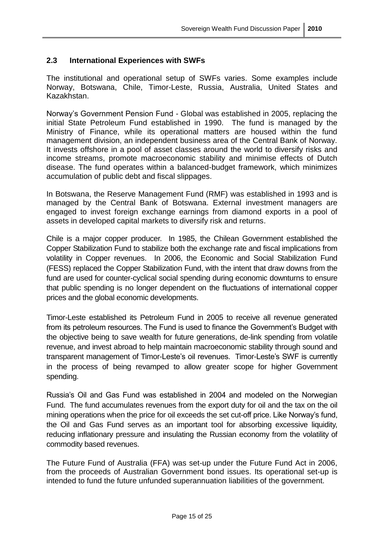#### **2.3 International Experiences with SWFs**

The institutional and operational setup of SWFs varies. Some examples include Norway, Botswana, Chile, Timor-Leste, Russia, Australia, United States and Kazakhstan.

Norway"s Government Pension Fund - Global was established in 2005, replacing the initial State Petroleum Fund established in 1990. The fund is managed by the Ministry of Finance, while its operational matters are housed within the fund management division, an independent business area of the Central Bank of Norway. It invests offshore in a pool of asset classes around the world to diversify risks and income streams, promote macroeconomic stability and minimise effects of Dutch disease. The fund operates within a balanced-budget framework, which minimizes accumulation of public debt and fiscal slippages.

In Botswana, the Reserve Management Fund (RMF) was established in 1993 and is managed by the Central Bank of Botswana. External investment managers are engaged to invest foreign exchange earnings from diamond exports in a pool of assets in developed capital markets to diversify risk and returns.

Chile is a major copper producer. In 1985, the Chilean Government established the Copper Stabilization Fund to stabilize both the exchange rate and fiscal implications from volatility in Copper revenues. In 2006, the Economic and Social Stabilization Fund (FESS) replaced the Copper Stabilization Fund, with the intent that draw downs from the fund are used for counter-cyclical social spending during economic downturns to ensure that public spending is no longer dependent on the fluctuations of international copper prices and the global economic developments.

Timor-Leste established its Petroleum Fund in 2005 to receive all revenue generated from its petroleum resources. The Fund is used to finance the Government's Budget with the objective being to save wealth for future generations, de-link spending from volatile revenue, and invest abroad to help maintain macroeconomic stability through sound and transparent management of Timor-Leste"s oil revenues. Timor-Leste"s SWF is currently in the process of being revamped to allow greater scope for higher Government spending.

Russia"s Oil and Gas Fund was established in 2004 and modeled on the Norwegian Fund. The fund accumulates revenues from the export duty for oil and the tax on the oil mining operations when the price for oil exceeds the set cut-off price. Like Norway"s fund, the Oil and Gas Fund serves as an important tool for absorbing excessive liquidity, reducing inflationary pressure and insulating the Russian economy from the volatility of commodity based revenues.

The Future Fund of Australia (FFA) was set-up under the Future Fund Act in 2006, from the proceeds of Australian Government bond issues. Its operational set-up is intended to fund the future unfunded superannuation liabilities of the government.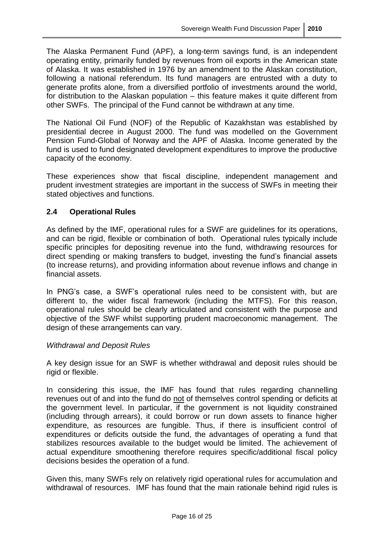The Alaska Permanent Fund (APF), a long-term savings fund, is an independent operating entity, primarily funded by revenues from oil exports in the American state of Alaska. It was established in 1976 by an amendment to the Alaskan constitution, following a national referendum. Its fund managers are entrusted with a duty to generate profits alone, from a diversified portfolio of investments around the world, for distribution to the Alaskan population – this feature makes it quite different from other SWFs. The principal of the Fund cannot be withdrawn at any time.

The National Oil Fund (NOF) of the Republic of Kazakhstan was established by presidential decree in August 2000. The fund was modelled on the Government Pension Fund-Global of Norway and the APF of Alaska. Income generated by the fund is used to fund designated development expenditures to improve the productive capacity of the economy.

These experiences show that fiscal discipline, independent management and prudent investment strategies are important in the success of SWFs in meeting their stated objectives and functions.

## **2.4 Operational Rules**

As defined by the IMF, operational rules for a SWF are guidelines for its operations, and can be rigid, flexible or combination of both. Operational rules typically include specific principles for depositing revenue into the fund, withdrawing resources for direct spending or making transfers to budget, investing the fund"s financial assets (to increase returns), and providing information about revenue inflows and change in financial assets.

In PNG"s case, a SWF"s operational rules need to be consistent with, but are different to, the wider fiscal framework (including the MTFS). For this reason, operational rules should be clearly articulated and consistent with the purpose and objective of the SWF whilst supporting prudent macroeconomic management. The design of these arrangements can vary.

## *Withdrawal and Deposit Rules*

A key design issue for an SWF is whether withdrawal and deposit rules should be rigid or flexible.

In considering this issue, the IMF has found that rules regarding channelling revenues out of and into the fund do not of themselves control spending or deficits at the government level. In particular, if the government is not liquidity constrained (including through arrears), it could borrow or run down assets to finance higher expenditure, as resources are fungible. Thus, if there is insufficient control of expenditures or deficits outside the fund, the advantages of operating a fund that stabilizes resources available to the budget would be limited. The achievement of actual expenditure smoothening therefore requires specific/additional fiscal policy decisions besides the operation of a fund.

Given this, many SWFs rely on relatively rigid operational rules for accumulation and withdrawal of resources. IMF has found that the main rationale behind rigid rules is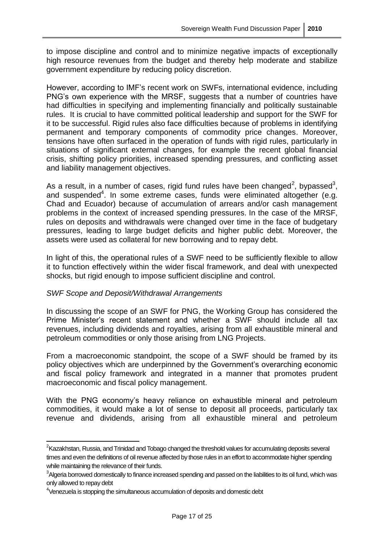to impose discipline and control and to minimize negative impacts of exceptionally high resource revenues from the budget and thereby help moderate and stabilize government expenditure by reducing policy discretion.

However, according to IMF"s recent work on SWFs, international evidence, including PNG's own experience with the MRSF, suggests that a number of countries have had difficulties in specifying and implementing financially and politically sustainable rules. It is crucial to have committed political leadership and support for the SWF for it to be successful. Rigid rules also face difficulties because of problems in identifying permanent and temporary components of commodity price changes. Moreover, tensions have often surfaced in the operation of funds with rigid rules, particularly in situations of significant external changes, for example the recent global financial crisis, shifting policy priorities, increased spending pressures, and conflicting asset and liability management objectives.

As a result, in a number of cases, rigid fund rules have been changed<sup>2</sup>, bypassed<sup>3</sup>, and suspended<sup>4</sup>. In some extreme cases, funds were eliminated altogether (e.g. Chad and Ecuador) because of accumulation of arrears and/or cash management problems in the context of increased spending pressures. In the case of the MRSF, rules on deposits and withdrawals were changed over time in the face of budgetary pressures, leading to large budget deficits and higher public debt. Moreover, the assets were used as collateral for new borrowing and to repay debt.

In light of this, the operational rules of a SWF need to be sufficiently flexible to allow it to function effectively within the wider fiscal framework, and deal with unexpected shocks, but rigid enough to impose sufficient discipline and control.

## *SWF Scope and Deposit/Withdrawal Arrangements*

<u>.</u>

In discussing the scope of an SWF for PNG, the Working Group has considered the Prime Minister"s recent statement and whether a SWF should include all tax revenues, including dividends and royalties, arising from all exhaustible mineral and petroleum commodities or only those arising from LNG Projects.

From a macroeconomic standpoint, the scope of a SWF should be framed by its policy objectives which are underpinned by the Government"s overarching economic and fiscal policy framework and integrated in a manner that promotes prudent macroeconomic and fiscal policy management.

With the PNG economy's heavy reliance on exhaustible mineral and petroleum commodities, it would make a lot of sense to deposit all proceeds, particularly tax revenue and dividends, arising from all exhaustible mineral and petroleum

 ${}^{2}$ Kazakhstan, Russia, and Trinidad and Tobago changed the threshold values for accumulating deposits several times and even the definitions of oil revenue affected by those rules in an effort to accommodate higher spending while maintaining the relevance of their funds.

 $3$ Algeria borrowed domestically to finance increased spending and passed on the liabilities to its oil fund, which was only allowed to repay debt

<sup>&</sup>lt;sup>4</sup>Venezuela is stopping the simultaneous accumulation of deposits and domestic debt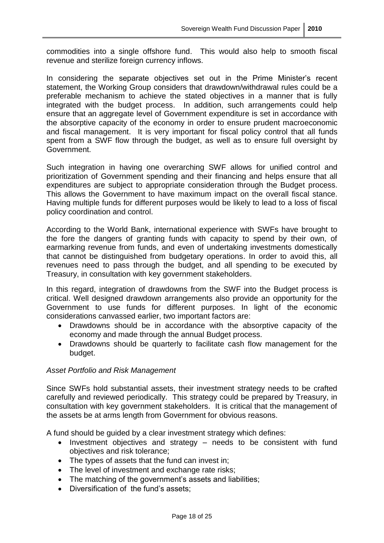commodities into a single offshore fund. This would also help to smooth fiscal revenue and sterilize foreign currency inflows.

In considering the separate objectives set out in the Prime Minister's recent statement, the Working Group considers that drawdown/withdrawal rules could be a preferable mechanism to achieve the stated objectives in a manner that is fully integrated with the budget process. In addition, such arrangements could help ensure that an aggregate level of Government expenditure is set in accordance with the absorptive capacity of the economy in order to ensure prudent macroeconomic and fiscal management. It is very important for fiscal policy control that all funds spent from a SWF flow through the budget, as well as to ensure full oversight by Government.

Such integration in having one overarching SWF allows for unified control and prioritization of Government spending and their financing and helps ensure that all expenditures are subject to appropriate consideration through the Budget process. This allows the Government to have maximum impact on the overall fiscal stance. Having multiple funds for different purposes would be likely to lead to a loss of fiscal policy coordination and control.

According to the World Bank, international experience with SWFs have brought to the fore the dangers of granting funds with capacity to spend by their own, of earmarking revenue from funds, and even of undertaking investments domestically that cannot be distinguished from budgetary operations. In order to avoid this, all revenues need to pass through the budget, and all spending to be executed by Treasury, in consultation with key government stakeholders.

In this regard, integration of drawdowns from the SWF into the Budget process is critical. Well designed drawdown arrangements also provide an opportunity for the Government to use funds for different purposes. In light of the economic considerations canvassed earlier, two important factors are:

- Drawdowns should be in accordance with the absorptive capacity of the economy and made through the annual Budget process.
- Drawdowns should be quarterly to facilitate cash flow management for the budget.

#### *Asset Portfolio and Risk Management*

Since SWFs hold substantial assets, their investment strategy needs to be crafted carefully and reviewed periodically. This strategy could be prepared by Treasury, in consultation with key government stakeholders. It is critical that the management of the assets be at arms length from Government for obvious reasons.

A fund should be guided by a clear investment strategy which defines:

- Investment objectives and strategy needs to be consistent with fund objectives and risk tolerance;
- The types of assets that the fund can invest in;
- The level of investment and exchange rate risks;
- The matching of the government's assets and liabilities;
- Diversification of the fund's assets;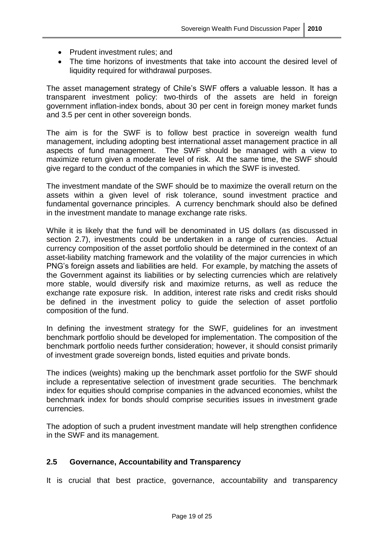- Prudent investment rules: and
- The time horizons of investments that take into account the desired level of liquidity required for withdrawal purposes.

The asset management strategy of Chile's SWF offers a valuable lesson. It has a transparent investment policy: two-thirds of the assets are held in foreign government inflation-index bonds, about 30 per cent in foreign money market funds and 3.5 per cent in other sovereign bonds.

The aim is for the SWF is to follow best practice in sovereign wealth fund management, including adopting best international asset management practice in all aspects of fund management. The SWF should be managed with a view to maximize return given a moderate level of risk. At the same time, the SWF should give regard to the conduct of the companies in which the SWF is invested.

The investment mandate of the SWF should be to maximize the overall return on the assets within a given level of risk tolerance, sound investment practice and fundamental governance principles. A currency benchmark should also be defined in the investment mandate to manage exchange rate risks.

While it is likely that the fund will be denominated in US dollars (as discussed in section 2.7), investments could be undertaken in a range of currencies. Actual currency composition of the asset portfolio should be determined in the context of an asset-liability matching framework and the volatility of the major currencies in which PNG"s foreign assets and liabilities are held. For example, by matching the assets of the Government against its liabilities or by selecting currencies which are relatively more stable, would diversify risk and maximize returns, as well as reduce the exchange rate exposure risk. In addition, interest rate risks and credit risks should be defined in the investment policy to guide the selection of asset portfolio composition of the fund.

In defining the investment strategy for the SWF, guidelines for an investment benchmark portfolio should be developed for implementation. The composition of the benchmark portfolio needs further consideration; however, it should consist primarily of investment grade sovereign bonds, listed equities and private bonds.

The indices (weights) making up the benchmark asset portfolio for the SWF should include a representative selection of investment grade securities. The benchmark index for equities should comprise companies in the advanced economies, whilst the benchmark index for bonds should comprise securities issues in investment grade currencies.

The adoption of such a prudent investment mandate will help strengthen confidence in the SWF and its management.

#### **2.5 Governance, Accountability and Transparency**

It is crucial that best practice, governance, accountability and transparency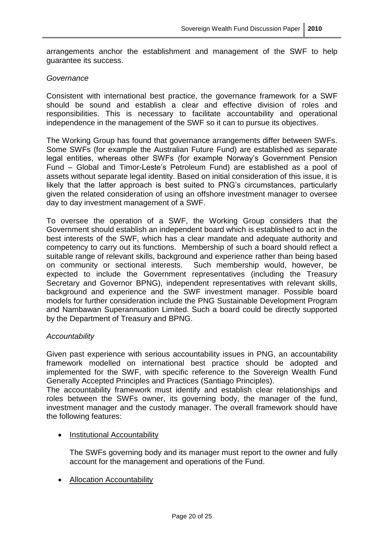arrangements anchor the establishment and management of the SWF to help guarantee its success.

#### *Governance*

Consistent with international best practice, the governance framework for a SWF should be sound and establish a clear and effective division of roles and responsibilities. This is necessary to facilitate accountability and operational independence in the management of the SWF so it can to pursue its objectives.

The Working Group has found that governance arrangements differ between SWFs. Some SWFs (for example the Australian Future Fund) are established as separate legal entities, whereas other SWFs (for example Norway's Government Pension Fund – Global and Timor-Leste"s Petroleum Fund) are established as a pool of assets without separate legal identity. Based on initial consideration of this issue, it is likely that the latter approach is best suited to PNG"s circumstances, particularly given the related consideration of using an offshore investment manager to oversee day to day investment management of a SWF.

To oversee the operation of a SWF, the Working Group considers that the Government should establish an independent board which is established to act in the best interests of the SWF, which has a clear mandate and adequate authority and competency to carry out its functions. Membership of such a board should reflect a suitable range of relevant skills, background and experience rather than being based on community or sectional interests. Such membership would, however, be expected to include the Government representatives (including the Treasury Secretary and Governor BPNG), independent representatives with relevant skills, background and experience and the SWF investment manager. Possible board models for further consideration include the PNG Sustainable Development Program and Nambawan Superannuation Limited. Such a board could be directly supported by the Department of Treasury and BPNG.

#### *Accountability*

Given past experience with serious accountability issues in PNG, an accountability framework modelled on international best practice should be adopted and implemented for the SWF, with specific reference to the Sovereign Wealth Fund Generally Accepted Principles and Practices (Santiago Principles).

The accountability framework must identify and establish clear relationships and roles between the SWFs owner, its governing body, the manager of the fund, investment manager and the custody manager. The overall framework should have the following features:

#### • Institutional Accountability

The SWFs governing body and its manager must report to the owner and fully account for the management and operations of the Fund.

Allocation Accountability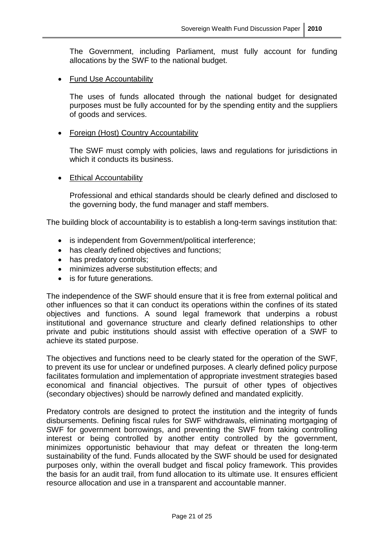The Government, including Parliament, must fully account for funding allocations by the SWF to the national budget.

• Fund Use Accountability

The uses of funds allocated through the national budget for designated purposes must be fully accounted for by the spending entity and the suppliers of goods and services.

#### • Foreign (Host) Country Accountability

The SWF must comply with policies, laws and regulations for jurisdictions in which it conducts its business.

• Ethical Accountability

Professional and ethical standards should be clearly defined and disclosed to the governing body, the fund manager and staff members.

The building block of accountability is to establish a long-term savings institution that:

- is independent from Government/political interference;
- has clearly defined objectives and functions;
- has predatory controls;
- minimizes adverse substitution effects; and
- is for future generations.

The independence of the SWF should ensure that it is free from external political and other influences so that it can conduct its operations within the confines of its stated objectives and functions. A sound legal framework that underpins a robust institutional and governance structure and clearly defined relationships to other private and pubic institutions should assist with effective operation of a SWF to achieve its stated purpose.

The objectives and functions need to be clearly stated for the operation of the SWF, to prevent its use for unclear or undefined purposes. A clearly defined policy purpose facilitates formulation and implementation of appropriate investment strategies based economical and financial objectives. The pursuit of other types of objectives (secondary objectives) should be narrowly defined and mandated explicitly.

Predatory controls are designed to protect the institution and the integrity of funds disbursements. Defining fiscal rules for SWF withdrawals, eliminating mortgaging of SWF for government borrowings, and preventing the SWF from taking controlling interest or being controlled by another entity controlled by the government, minimizes opportunistic behaviour that may defeat or threaten the long-term sustainability of the fund. Funds allocated by the SWF should be used for designated purposes only, within the overall budget and fiscal policy framework. This provides the basis for an audit trail, from fund allocation to its ultimate use. It ensures efficient resource allocation and use in a transparent and accountable manner.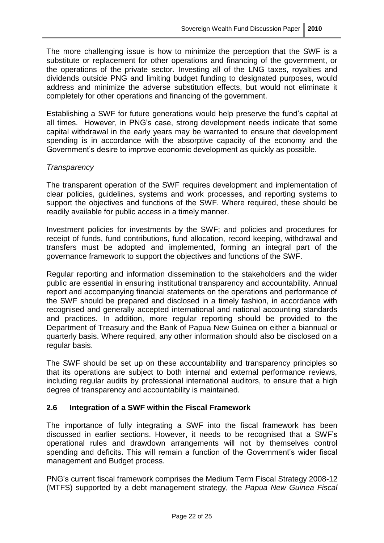The more challenging issue is how to minimize the perception that the SWF is a substitute or replacement for other operations and financing of the government, or the operations of the private sector. Investing all of the LNG taxes, royalties and dividends outside PNG and limiting budget funding to designated purposes, would address and minimize the adverse substitution effects, but would not eliminate it completely for other operations and financing of the government.

Establishing a SWF for future generations would help preserve the fund"s capital at all times. However, in PNG"s case, strong development needs indicate that some capital withdrawal in the early years may be warranted to ensure that development spending is in accordance with the absorptive capacity of the economy and the Government"s desire to improve economic development as quickly as possible.

#### *Transparency*

The transparent operation of the SWF requires development and implementation of clear policies, guidelines, systems and work processes, and reporting systems to support the objectives and functions of the SWF. Where required, these should be readily available for public access in a timely manner.

Investment policies for investments by the SWF; and policies and procedures for receipt of funds, fund contributions, fund allocation, record keeping, withdrawal and transfers must be adopted and implemented, forming an integral part of the governance framework to support the objectives and functions of the SWF.

Regular reporting and information dissemination to the stakeholders and the wider public are essential in ensuring institutional transparency and accountability. Annual report and accompanying financial statements on the operations and performance of the SWF should be prepared and disclosed in a timely fashion, in accordance with recognised and generally accepted international and national accounting standards and practices. In addition, more regular reporting should be provided to the Department of Treasury and the Bank of Papua New Guinea on either a biannual or quarterly basis. Where required, any other information should also be disclosed on a regular basis.

The SWF should be set up on these accountability and transparency principles so that its operations are subject to both internal and external performance reviews, including regular audits by professional international auditors, to ensure that a high degree of transparency and accountability is maintained.

## **2.6 Integration of a SWF within the Fiscal Framework**

The importance of fully integrating a SWF into the fiscal framework has been discussed in earlier sections. However, it needs to be recognised that a SWF"s operational rules and drawdown arrangements will not by themselves control spending and deficits. This will remain a function of the Government's wider fiscal management and Budget process.

PNG"s current fiscal framework comprises the Medium Term Fiscal Strategy 2008-12 (MTFS) supported by a debt management strategy, the *Papua New Guinea Fiscal*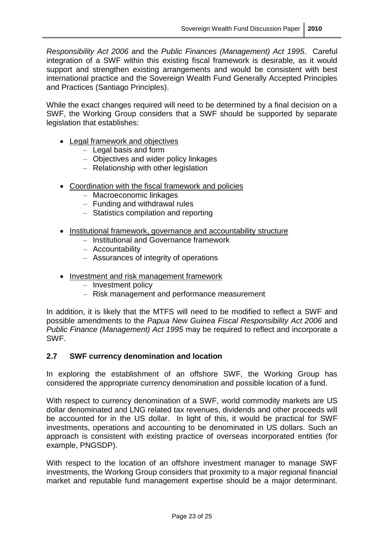*Responsibility Act 2006* and the *Public Finances (Management) Act 1995*. Careful integration of a SWF within this existing fiscal framework is desirable, as it would support and strengthen existing arrangements and would be consistent with best international practice and the Sovereign Wealth Fund Generally Accepted Principles and Practices (Santiago Principles).

While the exact changes required will need to be determined by a final decision on a SWF, the Working Group considers that a SWF should be supported by separate legislation that establishes:

- Legal framework and objectives
	- Legal basis and form
	- Objectives and wider policy linkages
	- Relationship with other legislation
- Coordination with the fiscal framework and policies
	- Macroeconomic linkages
	- Funding and withdrawal rules
	- Statistics compilation and reporting
- Institutional framework, governance and accountability structure
	- Institutional and Governance framework
	- Accountability
	- Assurances of integrity of operations
- Investment and risk management framework
	- Investment policy
	- Risk management and performance measurement

In addition, it is likely that the MTFS will need to be modified to reflect a SWF and possible amendments to the *Papua New Guinea Fiscal Responsibility Act 2006* and *Public Finance (Management) Act 1995* may be required to reflect and incorporate a SWF.

#### **2.7 SWF currency denomination and location**

In exploring the establishment of an offshore SWF, the Working Group has considered the appropriate currency denomination and possible location of a fund.

With respect to currency denomination of a SWF, world commodity markets are US dollar denominated and LNG related tax revenues, dividends and other proceeds will be accounted for in the US dollar. In light of this, it would be practical for SWF investments, operations and accounting to be denominated in US dollars. Such an approach is consistent with existing practice of overseas incorporated entities (for example, PNGSDP).

With respect to the location of an offshore investment manager to manage SWF investments, the Working Group considers that proximity to a major regional financial market and reputable fund management expertise should be a major determinant.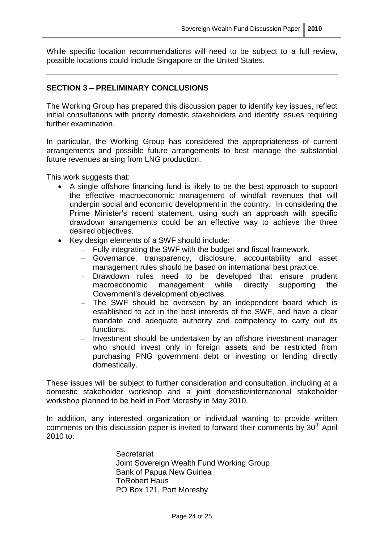While specific location recommendations will need to be subject to a full review, possible locations could include Singapore or the United States.

#### **SECTION 3 – PRELIMINARY CONCLUSIONS**

The Working Group has prepared this discussion paper to identify key issues, reflect initial consultations with priority domestic stakeholders and identify issues requiring further examination.

In particular, the Working Group has considered the appropriateness of current arrangements and possible future arrangements to best manage the substantial future revenues arising from LNG production.

This work suggests that:

- A single offshore financing fund is likely to be the best approach to support the effective macroeconomic management of windfall revenues that will underpin social and economic development in the country. In considering the Prime Minister"s recent statement, using such an approach with specific drawdown arrangements could be an effective way to achieve the three desired objectives.
- Key design elements of a SWF should include:
	- Fully integrating the SWF with the budget and fiscal framework.
	- Governance, transparency, disclosure, accountability and asset management rules should be based on international best practice.
	- Drawdown rules need to be developed that ensure prudent macroeconomic management while directly supporting the Government"s development objectives.
	- The SWF should be overseen by an independent board which is established to act in the best interests of the SWF, and have a clear mandate and adequate authority and competency to carry out its functions.
	- Investment should be undertaken by an offshore investment manager who should invest only in foreign assets and be restricted from purchasing PNG government debt or investing or lending directly domestically.

These issues will be subject to further consideration and consultation, including at a domestic stakeholder workshop and a joint domestic/international stakeholder workshop planned to be held in Port Moresby in May 2010.

In addition, any interested organization or individual wanting to provide written comments on this discussion paper is invited to forward their comments by  $30<sup>th</sup>$  April 2010 to:

> **Secretariat** Joint Sovereign Wealth Fund Working Group Bank of Papua New Guinea ToRobert Haus PO Box 121, Port Moresby